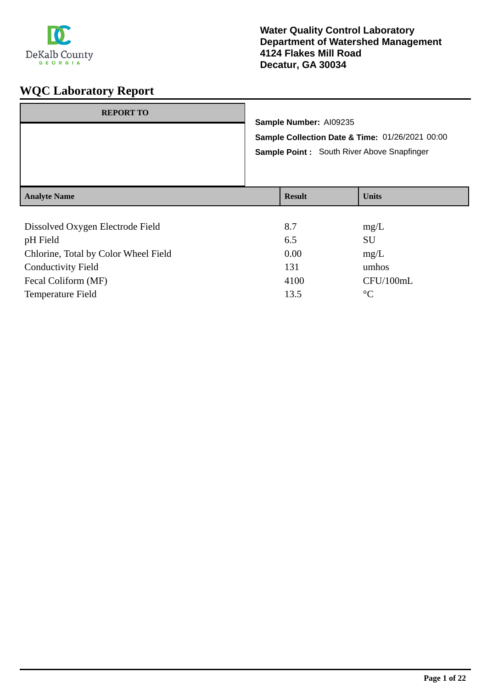

| <b>REPORT TO</b>                             |                        |                                                                                                |  |
|----------------------------------------------|------------------------|------------------------------------------------------------------------------------------------|--|
|                                              | Sample Number: AI09235 | Sample Collection Date & Time: 01/26/2021 00:00<br>Sample Point : South River Above Snapfinger |  |
| <b>Analyte Name</b>                          | <b>Result</b>          | <b>Units</b>                                                                                   |  |
| Dissolved Oxygen Electrode Field<br>nH Field | 8.7<br>6.5             | mg/L<br><b>SU</b>                                                                              |  |

| pH Field                             | 6.5  | SU        |
|--------------------------------------|------|-----------|
| Chlorine, Total by Color Wheel Field | 0.00 | mg/L      |
| <b>Conductivity Field</b>            | 131  | umhos     |
| Fecal Coliform (MF)                  | 4100 | CFU/100mL |
| <b>Temperature Field</b>             | 13.5 | $\circ$ C |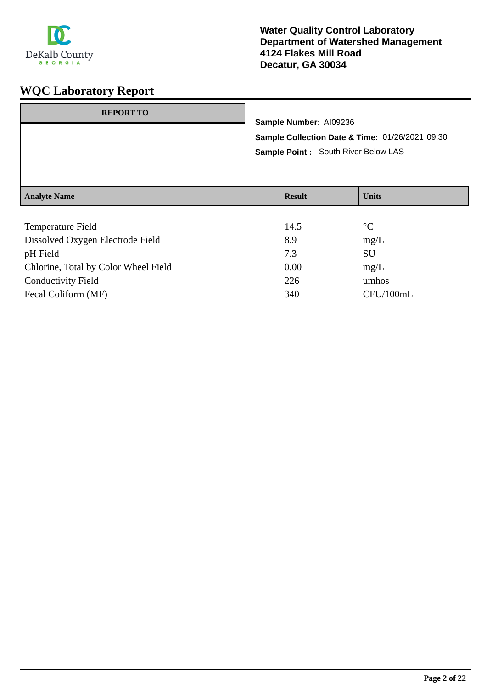

| <b>REPORT TO</b>    | Sample Number: AI09236<br>Sample Point : South River Below LAS | Sample Collection Date & Time: 01/26/2021 09:30 |
|---------------------|----------------------------------------------------------------|-------------------------------------------------|
| <b>Analyte Name</b> | <b>Result</b>                                                  | <b>Units</b>                                    |
|                     |                                                                |                                                 |

| Temperature Field                    | 14.5 | $\rm ^{\circ}C$ |
|--------------------------------------|------|-----------------|
| Dissolved Oxygen Electrode Field     | 8.9  | mg/L            |
| pH Field                             | 7.3  | <b>SU</b>       |
| Chlorine, Total by Color Wheel Field | 0.00 | mg/L            |
| <b>Conductivity Field</b>            | 226  | umhos           |
| Fecal Coliform (MF)                  | 340  | CFU/100mL       |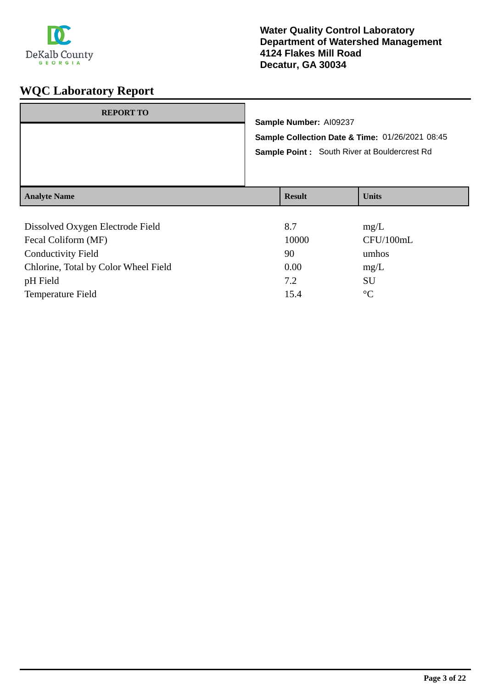

| <b>REPORT TO</b>                 |                                                 |              |  |
|----------------------------------|-------------------------------------------------|--------------|--|
|                                  | Sample Number: AI09237                          |              |  |
|                                  | Sample Collection Date & Time: 01/26/2021 08:45 |              |  |
|                                  | Sample Point: South River at Bouldercrest Rd    |              |  |
|                                  |                                                 |              |  |
|                                  |                                                 |              |  |
| <b>Analyte Name</b>              | <b>Result</b>                                   | <b>Units</b> |  |
|                                  |                                                 |              |  |
| Dissolved Oxygen Electrode Field | 8.7                                             | mg/L         |  |
| Fecal Coliform (MF)              | 10000                                           | CFU/100mL    |  |

| Fecal Comonii (MF)                   | TUUUU | CFU/TUUIIIL |
|--------------------------------------|-------|-------------|
| Conductivity Field                   | 90    | umhos       |
| Chlorine, Total by Color Wheel Field | 0.00  | mg/L        |
| pH Field                             | 7.2   | SU          |
| <b>Temperature Field</b>             | 15.4  | $\circ$     |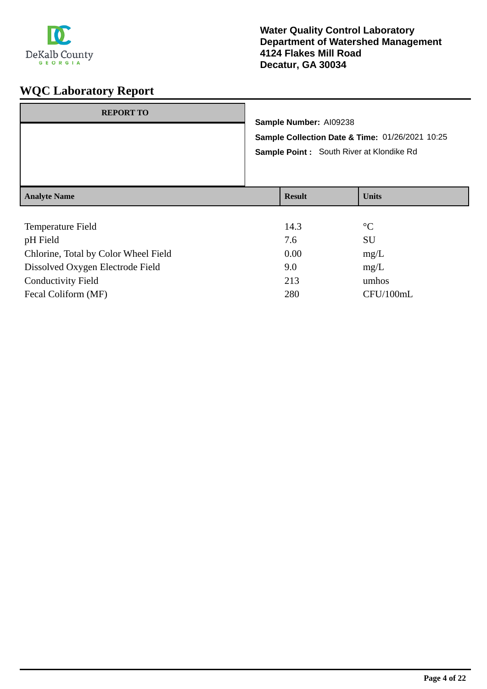

| <b>REPORT TO</b>                               | Sample Number: AI09238    | Sample Collection Date & Time: 01/26/2021 10:25<br>Sample Point : South River at Klondike Rd |
|------------------------------------------------|---------------------------|----------------------------------------------------------------------------------------------|
| <b>Analyte Name</b>                            | <b>Result</b>             | <b>Units</b>                                                                                 |
| Temperature Field<br>$\sim$ III III $\sim$ 1.1 | 14.3<br>$\tau$ $\epsilon$ | $\rm ^{\circ}C$<br><b>CTT</b>                                                                |

| pH Field                             | 7.6  | SU        |
|--------------------------------------|------|-----------|
| Chlorine, Total by Color Wheel Field | 0.00 | mg/L      |
| Dissolved Oxygen Electrode Field     | 9.0  | mg/L      |
| <b>Conductivity Field</b>            | 213  | umhos     |
| Fecal Coliform (MF)                  | 280  | CFU/100mL |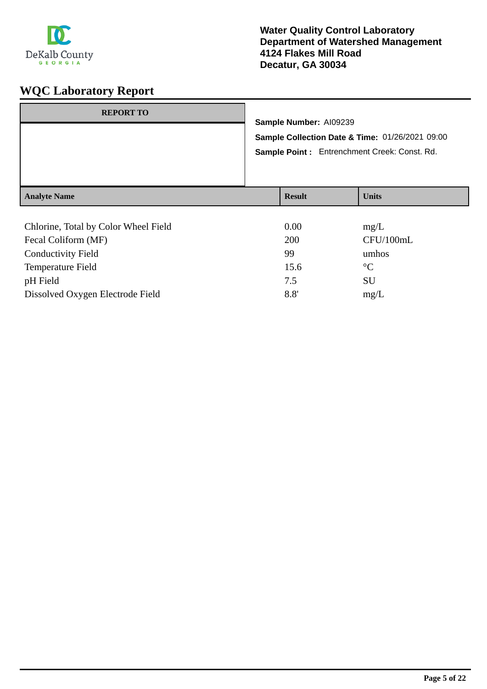

#### **Water Quality Control Laboratory Department of Watershed Management 4124 Flakes Mill Road Decatur, GA 30034**

| <b>REPORT TO</b>    | Sample Number: AI09239 | Sample Collection Date & Time: 01/26/2021 09:00<br>Sample Point: Entrenchment Creek: Const. Rd. |
|---------------------|------------------------|-------------------------------------------------------------------------------------------------|
| <b>Analyte Name</b> | <b>Result</b>          | <b>Units</b>                                                                                    |
|                     |                        |                                                                                                 |

| Chlorine, Total by Color Wheel Field | 0.00 | mg/L            |
|--------------------------------------|------|-----------------|
| Fecal Coliform (MF)                  | 200  | CFU/100mL       |
| <b>Conductivity Field</b>            | 99   | umhos           |
| Temperature Field                    | 15.6 | $\rm ^{\circ}C$ |
| pH Field                             | 7.5  | SU              |
| Dissolved Oxygen Electrode Field     | 8.8' | mg/L            |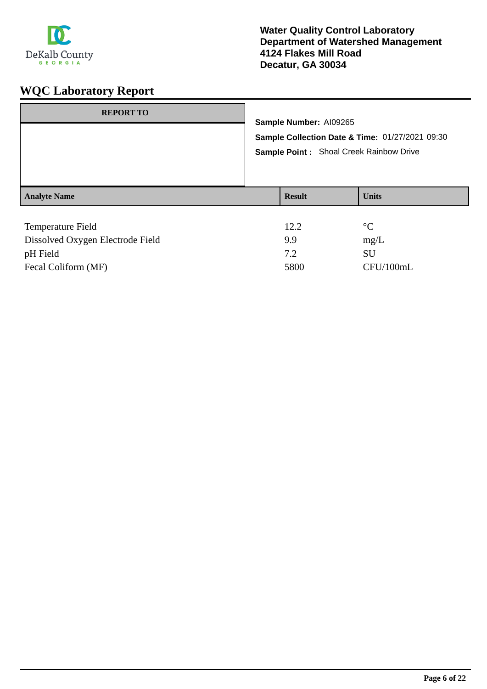

| <b>REPORT TO</b>    | Sample Number: AI09265<br>Sample Point : Shoal Creek Rainbow Drive | Sample Collection Date & Time: 01/27/2021 09:30 |
|---------------------|--------------------------------------------------------------------|-------------------------------------------------|
| <b>Analyte Name</b> | <b>Result</b>                                                      | <b>Units</b>                                    |
| Temperature Field   | 12.2                                                               | $\rm ^{\circ}C$                                 |

| Dissolved Oxygen Electrode Field | 99   | mg/L      |
|----------------------------------|------|-----------|
| pH Field                         | 72   | SU        |
| Fecal Coliform (MF)              | 5800 | CFU/100mL |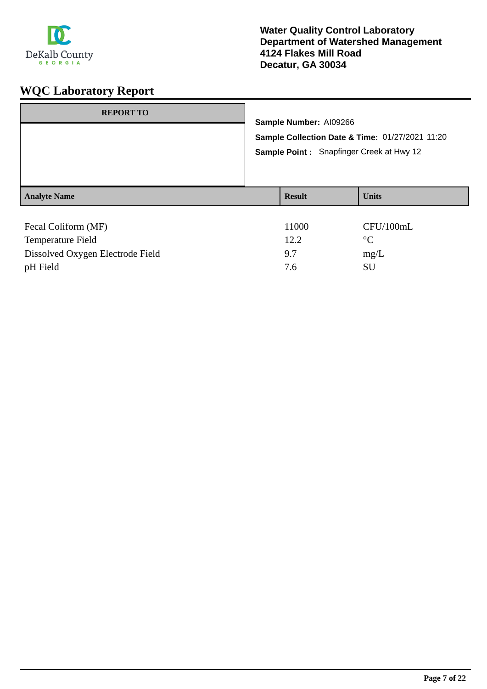

| <b>REPORT TO</b>    |                                                                                                    |                        |                 |
|---------------------|----------------------------------------------------------------------------------------------------|------------------------|-----------------|
|                     |                                                                                                    | Sample Number: AI09266 |                 |
|                     | Sample Collection Date & Time: 01/27/2021 11:20<br><b>Sample Point:</b> Snapfinger Creek at Hwy 12 |                        |                 |
|                     |                                                                                                    |                        |                 |
| <b>Analyte Name</b> |                                                                                                    | <b>Result</b>          | <b>Units</b>    |
| Fecal Coliform (MF) |                                                                                                    | 11000                  | CFU/100mL       |
| Temperature Field   |                                                                                                    | 12.2                   | $\rm ^{\circ}C$ |

Dissolved Oxygen Electrode Field 9.7 mg/L pH Field SU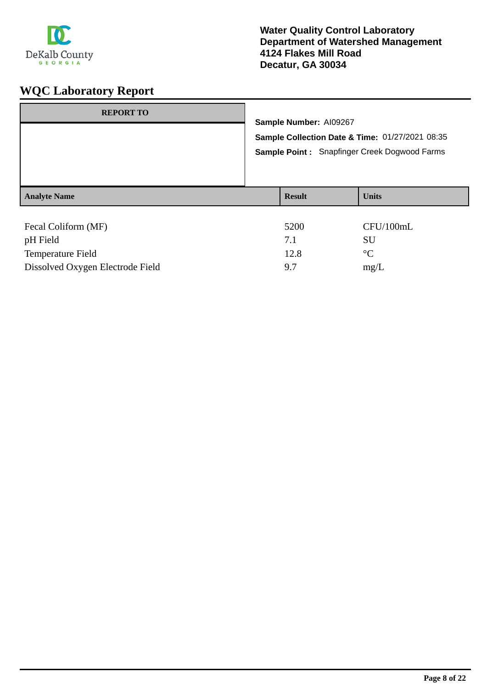

| <b>REPORT TO</b>    | Sample Number: AI09267<br>Sample Collection Date & Time: 01/27/2021 08:35<br>Sample Point: Snapfinger Creek Dogwood Farms |               |                 |
|---------------------|---------------------------------------------------------------------------------------------------------------------------|---------------|-----------------|
|                     |                                                                                                                           |               |                 |
|                     |                                                                                                                           |               |                 |
| <b>Analyte Name</b> |                                                                                                                           | <b>Result</b> | <b>Units</b>    |
|                     |                                                                                                                           |               |                 |
| Fecal Coliform (MF) |                                                                                                                           | 5200          | CFU/100mL       |
| pH Field            |                                                                                                                           | 7.1           | <b>SU</b>       |
| Temperature Field   |                                                                                                                           | 12.8          | $\rm ^{\circ}C$ |

Dissolved Oxygen Electrode Field 9.7 mg/L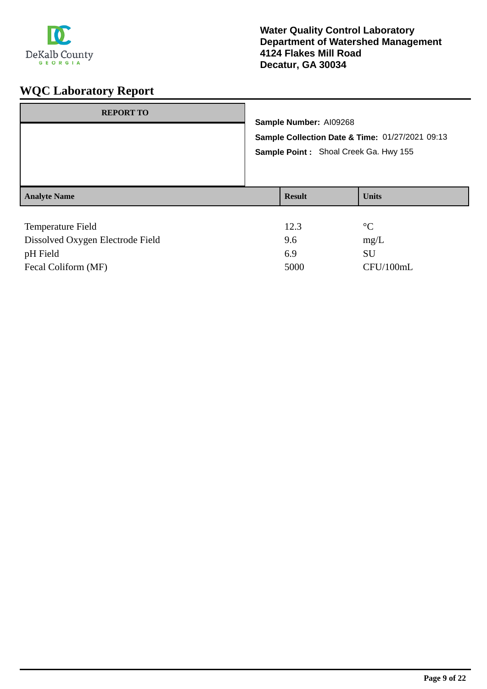

| <b>REPORT TO</b>         | Sample Number: AI09268<br>Sample Point: Shoal Creek Ga. Hwy 155 | Sample Collection Date & Time: 01/27/2021 09:13 |
|--------------------------|-----------------------------------------------------------------|-------------------------------------------------|
| <b>Analyte Name</b>      | <b>Result</b>                                                   | <b>Units</b>                                    |
| <b>Temperature Field</b> | 12.3                                                            | $\rm ^{\circ}C$                                 |

| Dissolved Oxygen Electrode Field | 9.6  | mg/L      |
|----------------------------------|------|-----------|
| pH Field                         | 6.9  | SU        |
| Fecal Coliform (MF)              | 5000 | CFU/100mL |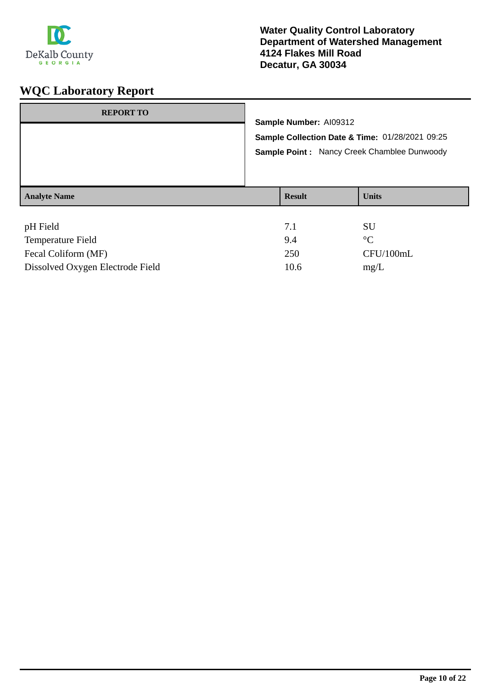

| <b>REPORT TO</b>              | Sample Number: AI09312<br>Sample Collection Date & Time: 01/28/2021 09:25<br>Sample Point: Nancy Creek Chamblee Dunwoody |               |                              |
|-------------------------------|--------------------------------------------------------------------------------------------------------------------------|---------------|------------------------------|
|                               |                                                                                                                          |               |                              |
| <b>Analyte Name</b>           |                                                                                                                          | <b>Result</b> | <b>Units</b>                 |
| pH Field<br>Temperature Field |                                                                                                                          | 7.1<br>9.4    | <b>SU</b><br>$\rm ^{\circ}C$ |

| <b>ICILIPCIALUITE L'ITELU</b>    | 7.4  |           |
|----------------------------------|------|-----------|
| Fecal Coliform (MF)              | 250  | CFU/100mL |
| Dissolved Oxygen Electrode Field | 10.6 | mg/L      |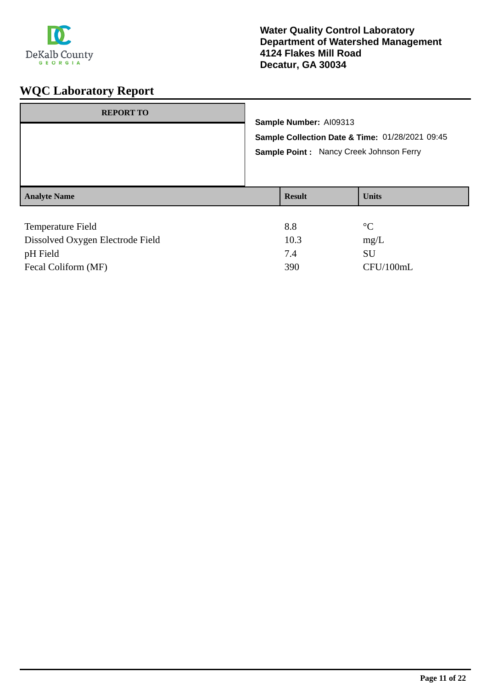

| <b>REPORT TO</b>    | Sample Number: AI09313<br>Sample Point: Nancy Creek Johnson Ferry | Sample Collection Date & Time: 01/28/2021 09:45 |
|---------------------|-------------------------------------------------------------------|-------------------------------------------------|
| <b>Analyte Name</b> | <b>Result</b>                                                     | <b>Units</b>                                    |
| Temperature Field   | 8.8                                                               | $\rm ^{\circ}C$                                 |

| Dissolved Oxygen Electrode Field | 10.3 | mg/L      |
|----------------------------------|------|-----------|
| pH Field                         |      | SU        |
| Fecal Coliform (MF)              | 390  | CFU/100mL |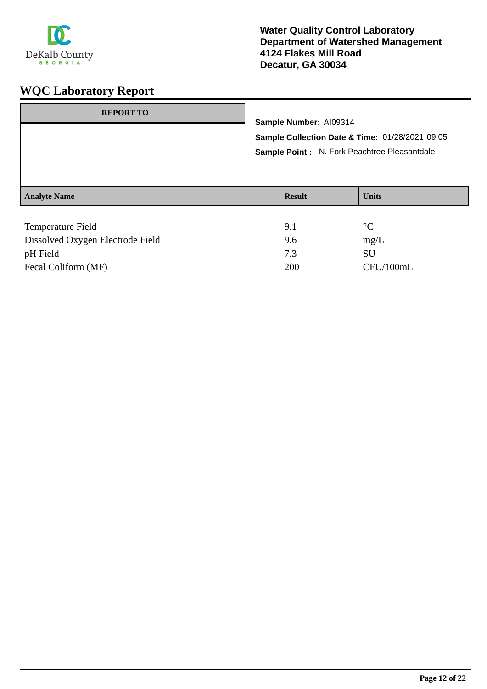

| <b>REPORT TO</b>         |  | Sample Number: AI09314<br>Sample Collection Date & Time: 01/28/2021 09:05<br>Sample Point : N. Fork Peachtree Pleasantdale |                 |  |  |
|--------------------------|--|----------------------------------------------------------------------------------------------------------------------------|-----------------|--|--|
|                          |  |                                                                                                                            |                 |  |  |
|                          |  |                                                                                                                            |                 |  |  |
|                          |  |                                                                                                                            |                 |  |  |
| <b>Analyte Name</b>      |  | <b>Result</b>                                                                                                              | <b>Units</b>    |  |  |
|                          |  |                                                                                                                            |                 |  |  |
| <b>Temperature Field</b> |  | 9.1                                                                                                                        | $\rm ^{\circ}C$ |  |  |
| _ . _ . _ _ _ _ _ _      |  |                                                                                                                            |                 |  |  |

| Dissolved Oxygen Electrode Field | 9.6 | mg/L      |
|----------------------------------|-----|-----------|
| pH Field                         |     | SU        |
| Fecal Coliform (MF)              | 200 | CFU/100mL |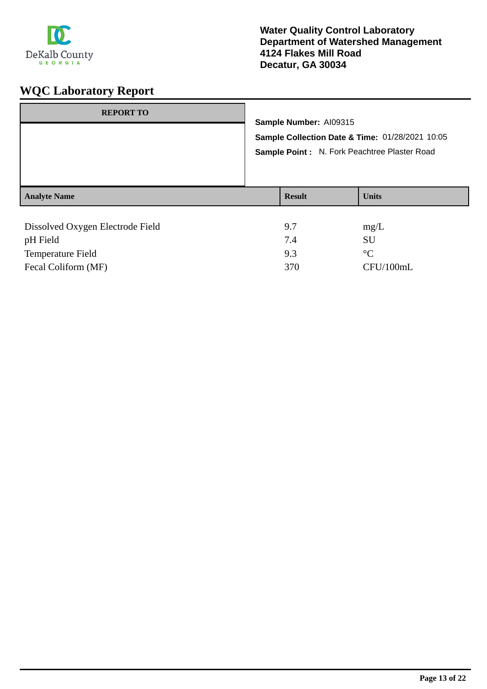

| <b>REPORT TO</b>                 |                                                 |                                              |
|----------------------------------|-------------------------------------------------|----------------------------------------------|
|                                  | Sample Number: AI09315                          |                                              |
|                                  | Sample Collection Date & Time: 01/28/2021 10:05 |                                              |
|                                  |                                                 | Sample Point: N. Fork Peachtree Plaster Road |
|                                  |                                                 |                                              |
|                                  |                                                 |                                              |
| <b>Analyte Name</b>              | <b>Result</b>                                   | <b>Units</b>                                 |
|                                  |                                                 |                                              |
| Dissolved Oxygen Electrode Field | 9.7                                             | mg/L                                         |
| pH Field                         | 7.4                                             | SU                                           |

Temperature Field 9.3 °C

Fecal Coliform (MF) 370 CFU/100mL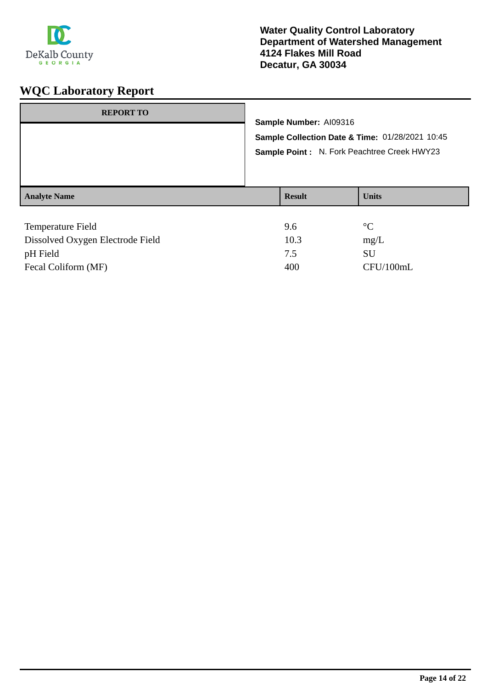

| <b>REPORT TO</b>    | Sample Number: AI09316<br>Sample Collection Date & Time: 01/28/2021 10:45<br>Sample Point: N. Fork Peachtree Creek HWY23 |                 |
|---------------------|--------------------------------------------------------------------------------------------------------------------------|-----------------|
| <b>Analyte Name</b> | <b>Result</b>                                                                                                            | <b>Units</b>    |
| Temperature Field   | 9.6                                                                                                                      | $\rm ^{\circ}C$ |

| Dissolved Oxygen Electrode Field | 10.3 | mg/L      |
|----------------------------------|------|-----------|
| pH Field                         |      | SU        |
| Fecal Coliform (MF)              | 400  | CFU/100mL |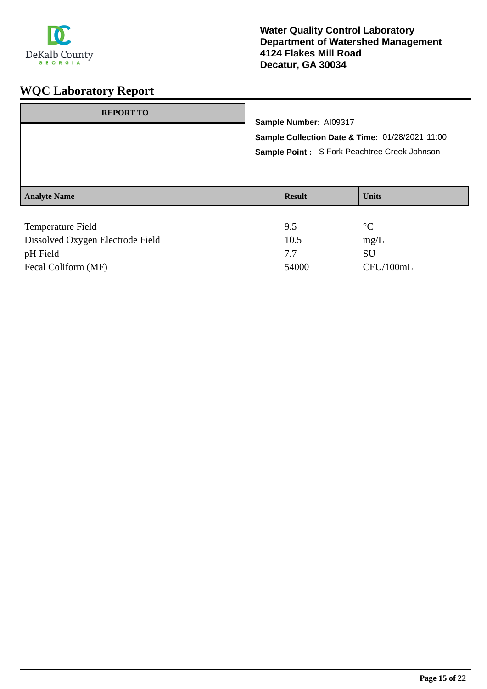

| <b>REPORT TO</b>                                      |                        | Sample Number: AI09317<br>Sample Collection Date & Time: 01/28/2021 11:00 |  |  |  |  |
|-------------------------------------------------------|------------------------|---------------------------------------------------------------------------|--|--|--|--|
|                                                       |                        | Sample Point: S Fork Peachtree Creek Johnson                              |  |  |  |  |
| <b>Analyte Name</b>                                   | <b>Result</b>          | <b>Units</b>                                                              |  |  |  |  |
| Temperature Field<br>Dissolved Oxygen Electrode Field | 9.5<br>10 <sub>5</sub> | $\rm ^{\circ}C$<br>$m\sigma$                                              |  |  |  |  |

| Dissolved Oxygen Electrode Field | 10.5  | mg/L      |
|----------------------------------|-------|-----------|
| pH Field                         |       | SU        |
| Fecal Coliform (MF)              | 54000 | CFU/100mL |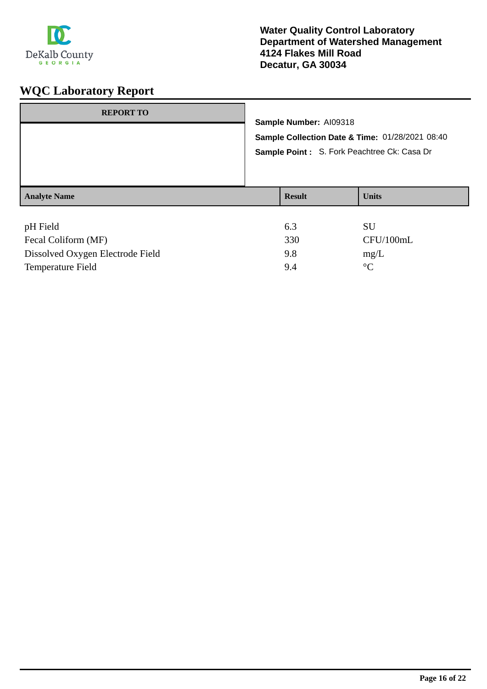

| <b>REPORT TO</b>    | Sample Number: AI09318<br>Sample Point: S. Fork Peachtree Ck: Casa Dr | Sample Collection Date & Time: 01/28/2021 08:40 |
|---------------------|-----------------------------------------------------------------------|-------------------------------------------------|
| <b>Analyte Name</b> | <b>Result</b>                                                         | <b>Units</b>                                    |
| pH Field            | 6.3                                                                   | <b>SU</b>                                       |

| $\mu$                            | <b>1.1.</b> | .           |
|----------------------------------|-------------|-------------|
| Fecal Coliform (MF)              | 330         | CFU/100mL   |
| Dissolved Oxygen Electrode Field | 9.8         | mg/L        |
| Temperature Field                | 9.4         | $^{\circ}C$ |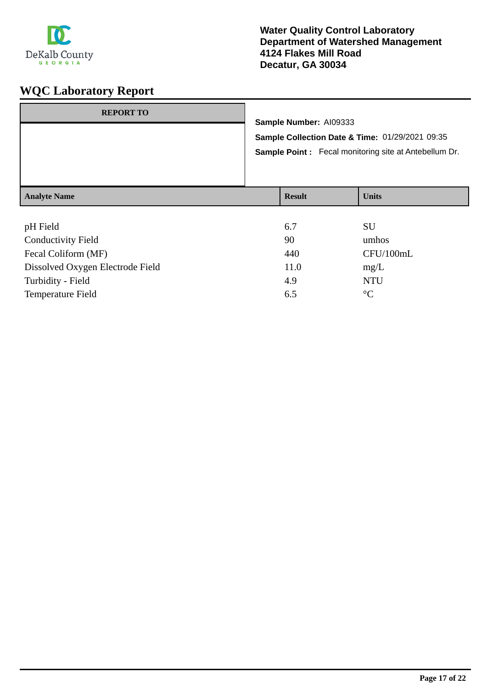

#### **Water Quality Control Laboratory Department of Watershed Management 4124 Flakes Mill Road Decatur, GA 30034**

| <b>REPORT TO</b>    |                                                                                                                                           |               |              |
|---------------------|-------------------------------------------------------------------------------------------------------------------------------------------|---------------|--------------|
|                     | Sample Number: AI09333<br>Sample Collection Date & Time: 01/29/2021 09:35<br><b>Sample Point:</b> Fecal monitoring site at Antebellum Dr. |               |              |
| <b>Analyte Name</b> |                                                                                                                                           | <b>Result</b> | <b>Units</b> |
| $-111173.11$        |                                                                                                                                           | $\sim$ $\sim$ | <b>CTT</b>   |

| pH Field                         | 6.7  | SU              |
|----------------------------------|------|-----------------|
| <b>Conductivity Field</b>        | 90   | umhos           |
| Fecal Coliform (MF)              | 440  | CFU/100mL       |
| Dissolved Oxygen Electrode Field | 11.0 | mg/L            |
| Turbidity - Field                | 4.9  | <b>NTU</b>      |
| <b>Temperature Field</b>         | 6.5  | $\rm ^{\circ}C$ |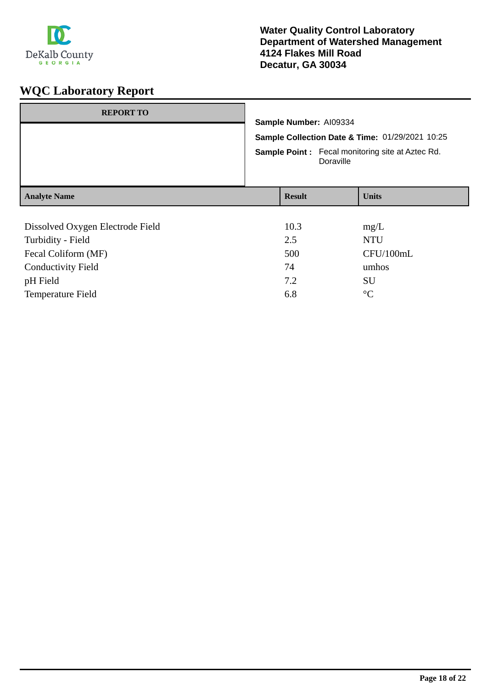

| <b>REPORT TO</b>                 |                                                                           |  |              |
|----------------------------------|---------------------------------------------------------------------------|--|--------------|
|                                  | Sample Number: AI09334<br>Sample Collection Date & Time: 01/29/2021 10:25 |  |              |
|                                  |                                                                           |  |              |
|                                  | <b>Sample Point:</b> Fecal monitoring site at Aztec Rd.<br>Doraville      |  |              |
| <b>Analyte Name</b>              | <b>Result</b>                                                             |  | <b>Units</b> |
|                                  |                                                                           |  |              |
| Dissolved Oxygen Electrode Field | 10.3                                                                      |  | mg/L         |
| Turbidity - Field                | 2.5                                                                       |  | <b>NTU</b>   |
| Fecal Coliform (MF)              | 500                                                                       |  | CFU/100mL    |
| <b>Conductivity Field</b>        | 74                                                                        |  | umhos        |
| pH Field                         | 7.2                                                                       |  | SU           |

Temperature Field 6.8 °C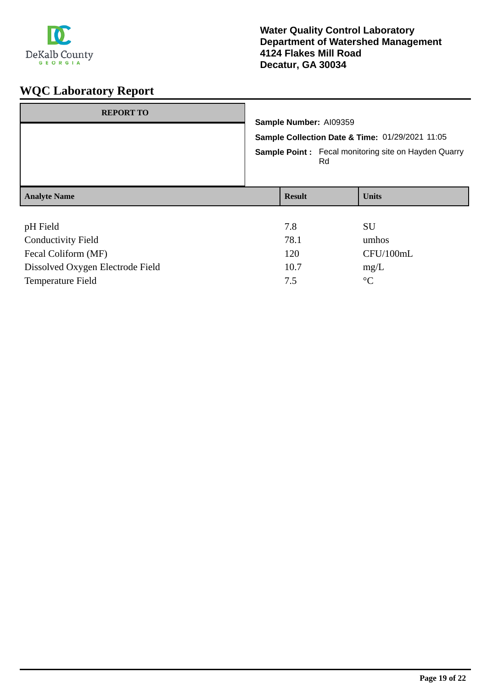

| <b>REPORT TO</b>                 | Sample Number: AI09359<br>Sample Collection Date & Time: 01/29/2021 11:05<br><b>Sample Point:</b> Fecal monitoring site on Hayden Quarry<br>Rd |  |              |
|----------------------------------|------------------------------------------------------------------------------------------------------------------------------------------------|--|--------------|
| <b>Analyte Name</b>              | <b>Result</b>                                                                                                                                  |  | <b>Units</b> |
|                                  |                                                                                                                                                |  |              |
| pH Field                         | 7.8                                                                                                                                            |  | <b>SU</b>    |
| <b>Conductivity Field</b>        | 78.1                                                                                                                                           |  | umhos        |
| Fecal Coliform (MF)              | 120                                                                                                                                            |  | CFU/100mL    |
| Dissolved Oxygen Electrode Field | 10.7                                                                                                                                           |  | mg/L         |

Temperature Field  $7.5$  °C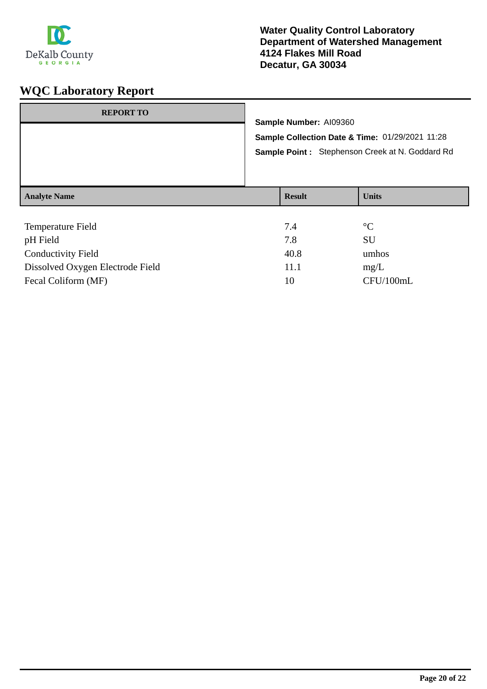

| <b>REPORT TO</b>    |  |                                                 |                 |  |  |
|---------------------|--|-------------------------------------------------|-----------------|--|--|
|                     |  | Sample Number: AI09360                          |                 |  |  |
|                     |  | Sample Collection Date & Time: 01/29/2021 11:28 |                 |  |  |
|                     |  | Sample Point: Stephenson Creek at N. Goddard Rd |                 |  |  |
|                     |  |                                                 |                 |  |  |
|                     |  |                                                 |                 |  |  |
| <b>Analyte Name</b> |  | <b>Result</b>                                   | <b>Units</b>    |  |  |
|                     |  |                                                 |                 |  |  |
| Temperature Field   |  | 7.4                                             | $\rm ^{\circ}C$ |  |  |
| pH Field            |  | 7.8                                             | SU              |  |  |

| pH Field                         | 7 S  | SU          |
|----------------------------------|------|-------------|
| Conductivity Field               | 40.8 | umhos       |
| Dissolved Oxygen Electrode Field | 11.1 | $m\Omega/L$ |
| Fecal Coliform (MF)              | 10   | CFU/100mL   |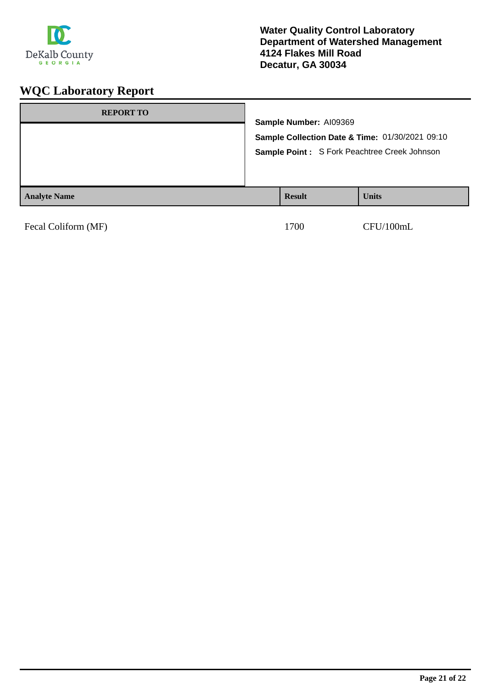

| <b>REPORT TO</b>    | Sample Number: AI09369 | Sample Collection Date & Time: 01/30/2021 09:10<br>Sample Point: S Fork Peachtree Creek Johnson |
|---------------------|------------------------|-------------------------------------------------------------------------------------------------|
| <b>Analyte Name</b> | <b>Result</b>          | <b>Units</b>                                                                                    |

| Fecal Coliform (MF) |  |
|---------------------|--|
|---------------------|--|

1700 CFU/100mL